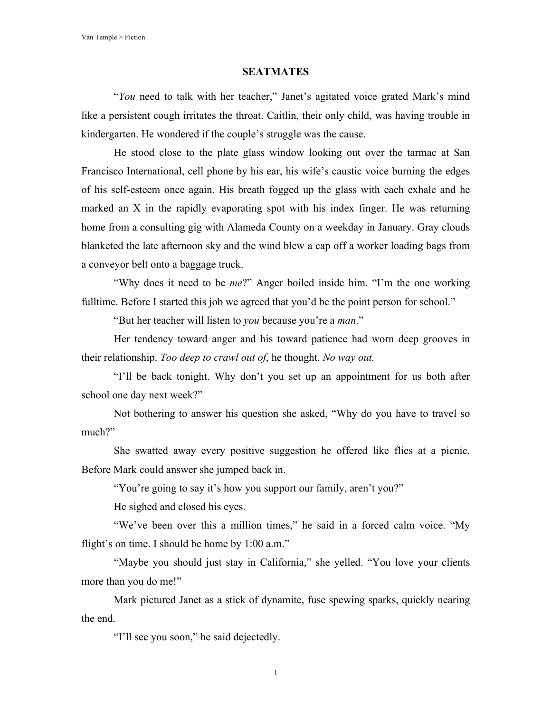## **SEATMATES**

"*You* need to talk with her teacher," Janet's agitated voice grated Mark's mind like a persistent cough irritates the throat. Caitlin, their only child, was having trouble in kindergarten. He wondered if the couple's struggle was the cause.

He stood close to the plate glass window looking out over the tarmac at San Francisco International, cell phone by his ear, his wife's caustic voice burning the edges of his self-esteem once again. His breath fogged up the glass with each exhale and he marked an X in the rapidly evaporating spot with his index finger. He was returning home from a consulting gig with Alameda County on a weekday in January. Gray clouds blanketed the late afternoon sky and the wind blew a cap off a worker loading bags from a conveyor belt onto a baggage truck.

"Why does it need to be *me*?" Anger boiled inside him. "I'm the one working fulltime. Before I started this job we agreed that you'd be the point person for school."

"But her teacher will listen to *you* because you're a *man*."

Her tendency toward anger and his toward patience had worn deep grooves in their relationship. *Too deep to crawl out of*, he thought. *No way out.*

"I'll be back tonight. Why don't you set up an appointment for us both after school one day next week?"

Not bothering to answer his question she asked, "Why do you have to travel so much?"

She swatted away every positive suggestion he offered like flies at a picnic. Before Mark could answer she jumped back in.

"You're going to say it's how you support our family, aren't you?"

He sighed and closed his eyes.

"We've been over this a million times," he said in a forced calm voice. "My flight's on time. I should be home by 1:00 a.m."

"Maybe you should just stay in California," she yelled. "You love your clients more than you do me!"

Mark pictured Janet as a stick of dynamite, fuse spewing sparks, quickly nearing the end.

"I'll see you soon," he said dejectedly.

1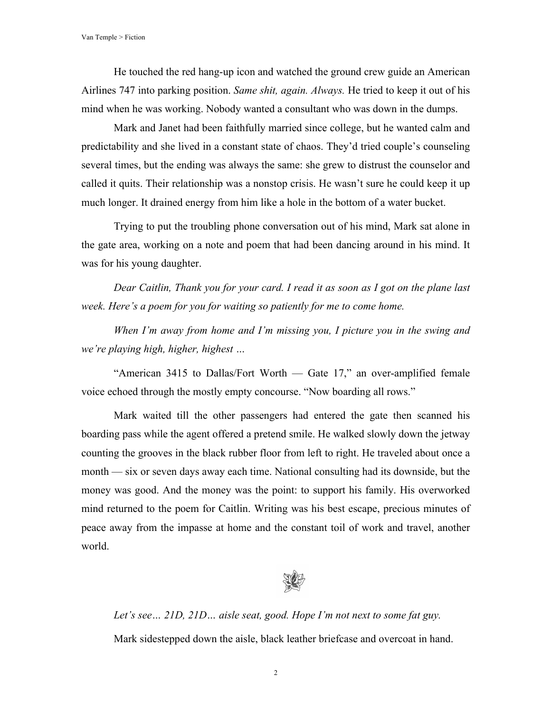He touched the red hang-up icon and watched the ground crew guide an American Airlines 747 into parking position. *Same shit, again. Always.* He tried to keep it out of his mind when he was working. Nobody wanted a consultant who was down in the dumps.

Mark and Janet had been faithfully married since college, but he wanted calm and predictability and she lived in a constant state of chaos. They'd tried couple's counseling several times, but the ending was always the same: she grew to distrust the counselor and called it quits. Their relationship was a nonstop crisis. He wasn't sure he could keep it up much longer. It drained energy from him like a hole in the bottom of a water bucket.

Trying to put the troubling phone conversation out of his mind, Mark sat alone in the gate area, working on a note and poem that had been dancing around in his mind. It was for his young daughter.

*Dear Caitlin, Thank you for your card. I read it as soon as I got on the plane last week. Here's a poem for you for waiting so patiently for me to come home.* 

*When I'm away from home and I'm missing you, I picture you in the swing and we're playing high, higher, highest …* 

"American 3415 to Dallas/Fort Worth — Gate 17," an over-amplified female voice echoed through the mostly empty concourse. "Now boarding all rows."

Mark waited till the other passengers had entered the gate then scanned his boarding pass while the agent offered a pretend smile. He walked slowly down the jetway counting the grooves in the black rubber floor from left to right. He traveled about once a month — six or seven days away each time. National consulting had its downside, but the money was good. And the money was the point: to support his family. His overworked mind returned to the poem for Caitlin. Writing was his best escape, precious minutes of peace away from the impasse at home and the constant toil of work and travel, another world.



*Let's see… 21D, 21D… aisle seat, good. Hope I'm not next to some fat guy.* Mark sidestepped down the aisle, black leather briefcase and overcoat in hand.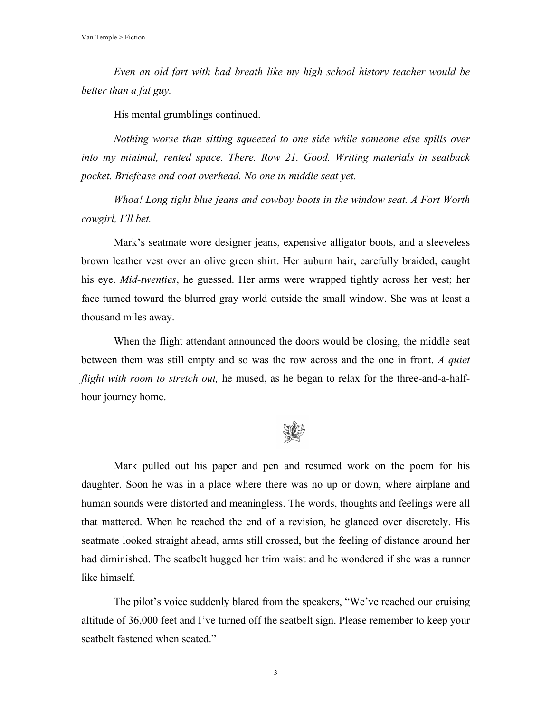*Even an old fart with bad breath like my high school history teacher would be better than a fat guy.* 

His mental grumblings continued.

*Nothing worse than sitting squeezed to one side while someone else spills over into my minimal, rented space. There. Row 21. Good. Writing materials in seatback pocket. Briefcase and coat overhead. No one in middle seat yet.*

*Whoa! Long tight blue jeans and cowboy boots in the window seat. A Fort Worth cowgirl, I'll bet.*

Mark's seatmate wore designer jeans, expensive alligator boots, and a sleeveless brown leather vest over an olive green shirt. Her auburn hair, carefully braided, caught his eye. *Mid-twenties*, he guessed. Her arms were wrapped tightly across her vest; her face turned toward the blurred gray world outside the small window. She was at least a thousand miles away.

When the flight attendant announced the doors would be closing, the middle seat between them was still empty and so was the row across and the one in front. *A quiet flight with room to stretch out,* he mused, as he began to relax for the three-and-a-halfhour journey home.



Mark pulled out his paper and pen and resumed work on the poem for his daughter. Soon he was in a place where there was no up or down, where airplane and human sounds were distorted and meaningless. The words, thoughts and feelings were all that mattered. When he reached the end of a revision, he glanced over discretely. His seatmate looked straight ahead, arms still crossed, but the feeling of distance around her had diminished. The seatbelt hugged her trim waist and he wondered if she was a runner like himself.

The pilot's voice suddenly blared from the speakers, "We've reached our cruising altitude of 36,000 feet and I've turned off the seatbelt sign. Please remember to keep your seatbelt fastened when seated."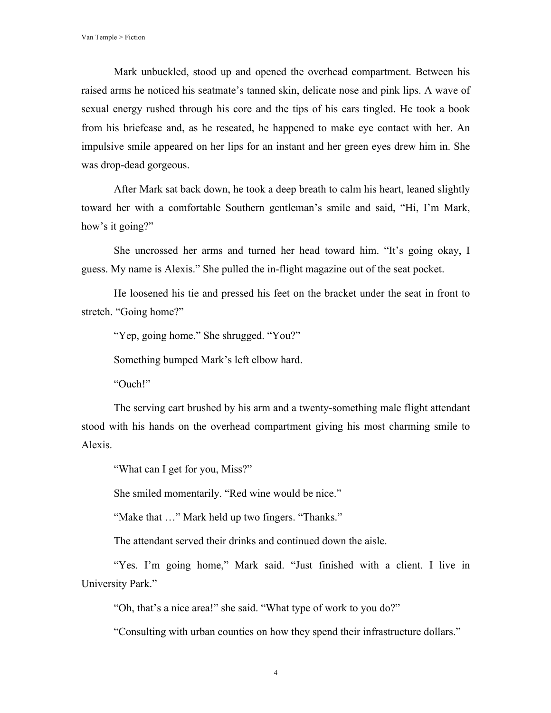Mark unbuckled, stood up and opened the overhead compartment. Between his raised arms he noticed his seatmate's tanned skin, delicate nose and pink lips. A wave of sexual energy rushed through his core and the tips of his ears tingled. He took a book from his briefcase and, as he reseated, he happened to make eye contact with her. An impulsive smile appeared on her lips for an instant and her green eyes drew him in. She was drop-dead gorgeous.

After Mark sat back down, he took a deep breath to calm his heart, leaned slightly toward her with a comfortable Southern gentleman's smile and said, "Hi, I'm Mark, how's it going?"

She uncrossed her arms and turned her head toward him. "It's going okay, I guess. My name is Alexis." She pulled the in-flight magazine out of the seat pocket.

He loosened his tie and pressed his feet on the bracket under the seat in front to stretch. "Going home?"

"Yep, going home." She shrugged. "You?"

Something bumped Mark's left elbow hard.

"Ouch!"

The serving cart brushed by his arm and a twenty-something male flight attendant stood with his hands on the overhead compartment giving his most charming smile to Alexis.

"What can I get for you, Miss?"

She smiled momentarily. "Red wine would be nice."

"Make that …" Mark held up two fingers. "Thanks."

The attendant served their drinks and continued down the aisle.

"Yes. I'm going home," Mark said. "Just finished with a client. I live in University Park."

"Oh, that's a nice area!" she said. "What type of work to you do?"

"Consulting with urban counties on how they spend their infrastructure dollars."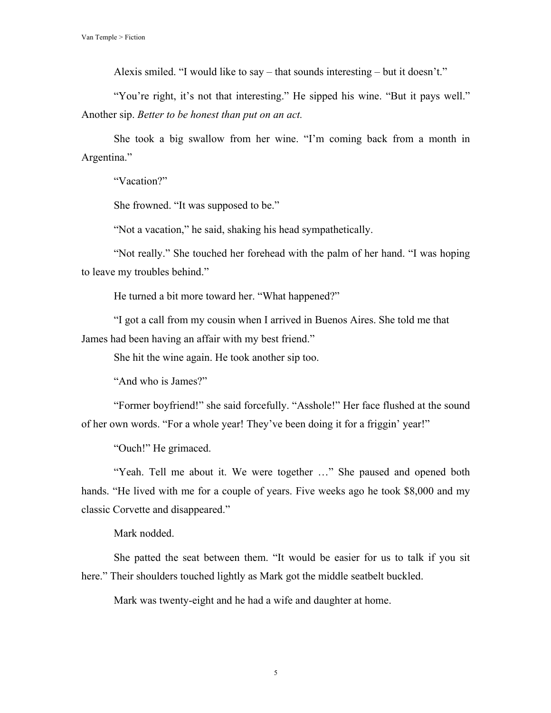Alexis smiled. "I would like to say – that sounds interesting – but it doesn't."

"You're right, it's not that interesting." He sipped his wine. "But it pays well." Another sip. *Better to be honest than put on an act.*

She took a big swallow from her wine. "I'm coming back from a month in Argentina."

"Vacation?"

She frowned. "It was supposed to be."

"Not a vacation," he said, shaking his head sympathetically.

"Not really." She touched her forehead with the palm of her hand. "I was hoping to leave my troubles behind."

He turned a bit more toward her. "What happened?"

"I got a call from my cousin when I arrived in Buenos Aires. She told me that James had been having an affair with my best friend."

She hit the wine again. He took another sip too.

"And who is James?"

"Former boyfriend!" she said forcefully. "Asshole!" Her face flushed at the sound of her own words. "For a whole year! They've been doing it for a friggin' year!"

"Ouch!" He grimaced.

"Yeah. Tell me about it. We were together …" She paused and opened both hands. "He lived with me for a couple of years. Five weeks ago he took \$8,000 and my classic Corvette and disappeared."

Mark nodded.

She patted the seat between them. "It would be easier for us to talk if you sit here." Their shoulders touched lightly as Mark got the middle seatbelt buckled.

Mark was twenty-eight and he had a wife and daughter at home.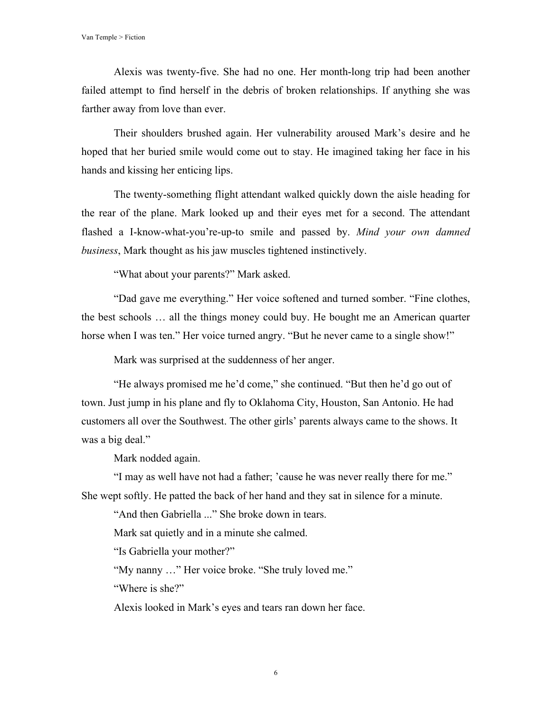Alexis was twenty-five. She had no one. Her month-long trip had been another failed attempt to find herself in the debris of broken relationships. If anything she was farther away from love than ever.

Their shoulders brushed again. Her vulnerability aroused Mark's desire and he hoped that her buried smile would come out to stay. He imagined taking her face in his hands and kissing her enticing lips.

The twenty-something flight attendant walked quickly down the aisle heading for the rear of the plane. Mark looked up and their eyes met for a second. The attendant flashed a I-know-what-you're-up-to smile and passed by. *Mind your own damned business*, Mark thought as his jaw muscles tightened instinctively.

"What about your parents?" Mark asked.

"Dad gave me everything." Her voice softened and turned somber. "Fine clothes, the best schools … all the things money could buy. He bought me an American quarter horse when I was ten." Her voice turned angry. "But he never came to a single show!"

Mark was surprised at the suddenness of her anger.

"He always promised me he'd come," she continued. "But then he'd go out of town. Just jump in his plane and fly to Oklahoma City, Houston, San Antonio. He had customers all over the Southwest. The other girls' parents always came to the shows. It was a big deal."

Mark nodded again.

"I may as well have not had a father; 'cause he was never really there for me." She wept softly. He patted the back of her hand and they sat in silence for a minute.

"And then Gabriella ..." She broke down in tears.

Mark sat quietly and in a minute she calmed.

"Is Gabriella your mother?"

"My nanny …" Her voice broke. "She truly loved me."

"Where is she?"

Alexis looked in Mark's eyes and tears ran down her face.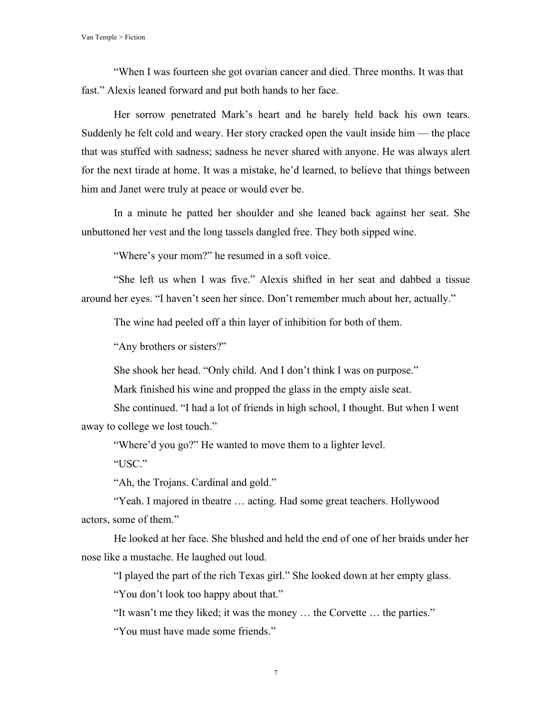"When I was fourteen she got ovarian cancer and died. Three months. It was that fast." Alexis leaned forward and put both hands to her face.

Her sorrow penetrated Mark's heart and he barely held back his own tears. Suddenly he felt cold and weary. Her story cracked open the vault inside him — the place that was stuffed with sadness; sadness he never shared with anyone. He was always alert for the next tirade at home. It was a mistake, he'd learned, to believe that things between him and Janet were truly at peace or would ever be.

In a minute he patted her shoulder and she leaned back against her seat. She unbuttoned her vest and the long tassels dangled free. They both sipped wine.

"Where's your mom?" he resumed in a soft voice.

"She left us when I was five." Alexis shifted in her seat and dabbed a tissue around her eyes. "I haven't seen her since. Don't remember much about her, actually."

The wine had peeled off a thin layer of inhibition for both of them.

"Any brothers or sisters?"

She shook her head. "Only child. And I don't think I was on purpose."

Mark finished his wine and propped the glass in the empty aisle seat.

She continued. "I had a lot of friends in high school, I thought. But when I went away to college we lost touch."

"Where'd you go?" He wanted to move them to a lighter level.

"USC."

"Ah, the Trojans. Cardinal and gold."

"Yeah. I majored in theatre … acting. Had some great teachers. Hollywood actors, some of them."

He looked at her face. She blushed and held the end of one of her braids under her nose like a mustache. He laughed out loud.

"I played the part of the rich Texas girl." She looked down at her empty glass.

"You don't look too happy about that."

"It wasn't me they liked; it was the money … the Corvette … the parties."

"You must have made some friends."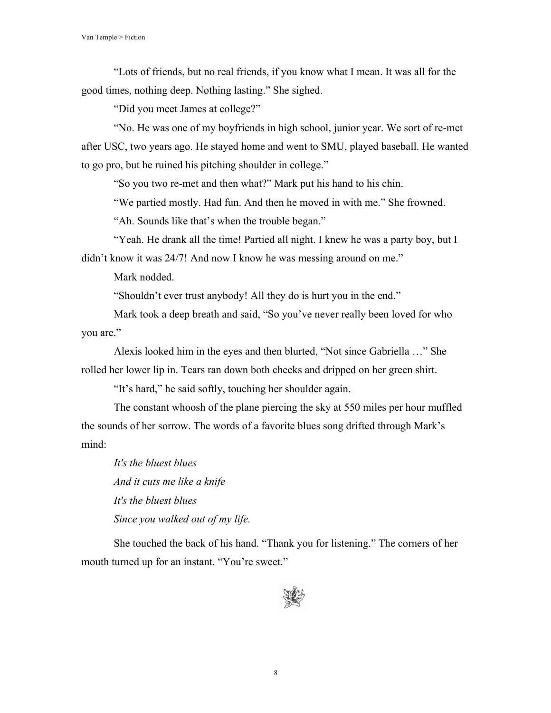"Lots of friends, but no real friends, if you know what I mean. It was all for the good times, nothing deep. Nothing lasting." She sighed.

"Did you meet James at college?"

"No. He was one of my boyfriends in high school, junior year. We sort of re-met after USC, two years ago. He stayed home and went to SMU, played baseball. He wanted to go pro, but he ruined his pitching shoulder in college."

"So you two re-met and then what?" Mark put his hand to his chin.

"We partied mostly. Had fun. And then he moved in with me." She frowned.

"Ah. Sounds like that's when the trouble began."

"Yeah. He drank all the time! Partied all night. I knew he was a party boy, but I didn't know it was 24/7! And now I know he was messing around on me."

Mark nodded.

"Shouldn't ever trust anybody! All they do is hurt you in the end."

Mark took a deep breath and said, "So you've never really been loved for who you are."

Alexis looked him in the eyes and then blurted, "Not since Gabriella …" She rolled her lower lip in. Tears ran down both cheeks and dripped on her green shirt.

"It's hard," he said softly, touching her shoulder again.

The constant whoosh of the plane piercing the sky at 550 miles per hour muffled the sounds of her sorrow. The words of a favorite blues song drifted through Mark's mind:

*It's the bluest blues And it cuts me like a knife It's the bluest blues Since you walked out of my life.*

She touched the back of his hand. "Thank you for listening." The corners of her mouth turned up for an instant. "You're sweet."

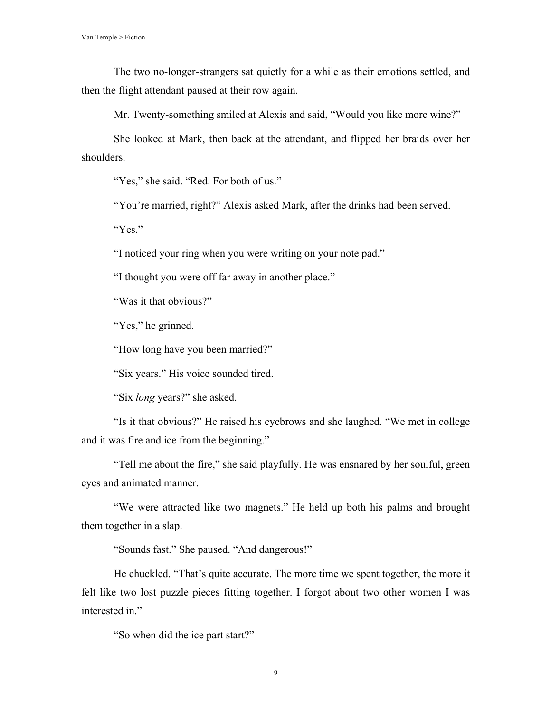The two no-longer-strangers sat quietly for a while as their emotions settled, and then the flight attendant paused at their row again.

Mr. Twenty-something smiled at Alexis and said, "Would you like more wine?"

She looked at Mark, then back at the attendant, and flipped her braids over her shoulders.

"Yes," she said. "Red. For both of us."

"You're married, right?" Alexis asked Mark, after the drinks had been served.

"Yes."

"I noticed your ring when you were writing on your note pad."

"I thought you were off far away in another place."

"Was it that obvious?"

"Yes," he grinned.

"How long have you been married?"

"Six years." His voice sounded tired.

"Six *long* years?" she asked.

"Is it that obvious?" He raised his eyebrows and she laughed. "We met in college and it was fire and ice from the beginning."

"Tell me about the fire," she said playfully. He was ensnared by her soulful, green eyes and animated manner.

"We were attracted like two magnets." He held up both his palms and brought them together in a slap.

"Sounds fast." She paused. "And dangerous!"

He chuckled. "That's quite accurate. The more time we spent together, the more it felt like two lost puzzle pieces fitting together. I forgot about two other women I was interested in."

"So when did the ice part start?"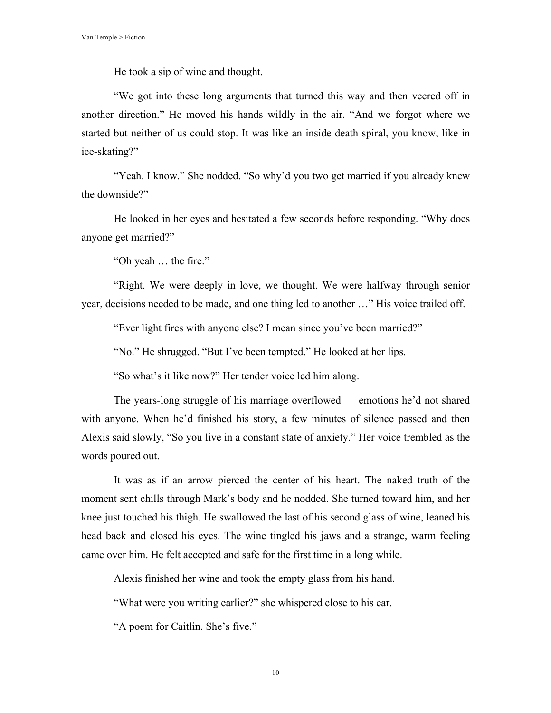He took a sip of wine and thought.

"We got into these long arguments that turned this way and then veered off in another direction." He moved his hands wildly in the air. "And we forgot where we started but neither of us could stop. It was like an inside death spiral, you know, like in ice-skating?"

"Yeah. I know." She nodded. "So why'd you two get married if you already knew the downside?"

He looked in her eyes and hesitated a few seconds before responding. "Why does anyone get married?"

"Oh yeah … the fire."

"Right. We were deeply in love, we thought. We were halfway through senior year, decisions needed to be made, and one thing led to another …" His voice trailed off.

"Ever light fires with anyone else? I mean since you've been married?"

"No." He shrugged. "But I've been tempted." He looked at her lips.

"So what's it like now?" Her tender voice led him along.

The years-long struggle of his marriage overflowed — emotions he'd not shared with anyone. When he'd finished his story, a few minutes of silence passed and then Alexis said slowly, "So you live in a constant state of anxiety." Her voice trembled as the words poured out.

It was as if an arrow pierced the center of his heart. The naked truth of the moment sent chills through Mark's body and he nodded. She turned toward him, and her knee just touched his thigh. He swallowed the last of his second glass of wine, leaned his head back and closed his eyes. The wine tingled his jaws and a strange, warm feeling came over him. He felt accepted and safe for the first time in a long while.

Alexis finished her wine and took the empty glass from his hand.

"What were you writing earlier?" she whispered close to his ear.

"A poem for Caitlin. She's five."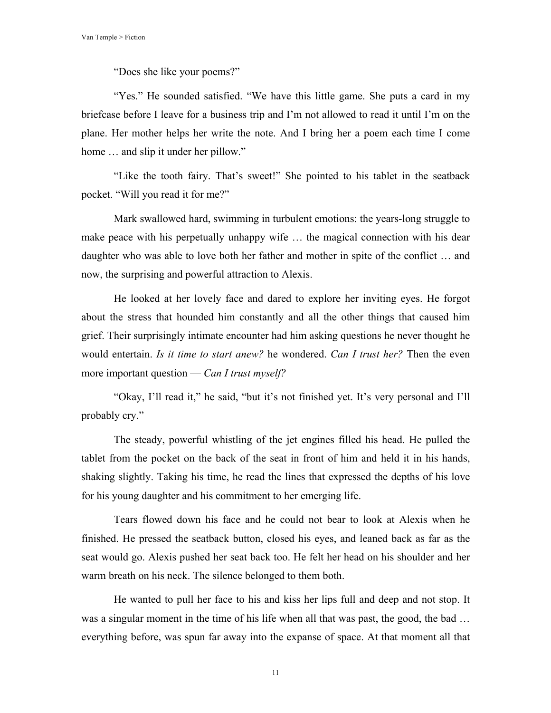"Does she like your poems?"

"Yes." He sounded satisfied. "We have this little game. She puts a card in my briefcase before I leave for a business trip and I'm not allowed to read it until I'm on the plane. Her mother helps her write the note. And I bring her a poem each time I come home ... and slip it under her pillow."

"Like the tooth fairy. That's sweet!" She pointed to his tablet in the seatback pocket. "Will you read it for me?"

Mark swallowed hard, swimming in turbulent emotions: the years-long struggle to make peace with his perpetually unhappy wife … the magical connection with his dear daughter who was able to love both her father and mother in spite of the conflict … and now, the surprising and powerful attraction to Alexis.

He looked at her lovely face and dared to explore her inviting eyes. He forgot about the stress that hounded him constantly and all the other things that caused him grief. Their surprisingly intimate encounter had him asking questions he never thought he would entertain. *Is it time to start anew?* he wondered. *Can I trust her?* Then the even more important question — *Can I trust myself?*

"Okay, I'll read it," he said, "but it's not finished yet. It's very personal and I'll probably cry."

The steady, powerful whistling of the jet engines filled his head. He pulled the tablet from the pocket on the back of the seat in front of him and held it in his hands, shaking slightly. Taking his time, he read the lines that expressed the depths of his love for his young daughter and his commitment to her emerging life.

Tears flowed down his face and he could not bear to look at Alexis when he finished. He pressed the seatback button, closed his eyes, and leaned back as far as the seat would go. Alexis pushed her seat back too. He felt her head on his shoulder and her warm breath on his neck. The silence belonged to them both.

He wanted to pull her face to his and kiss her lips full and deep and not stop. It was a singular moment in the time of his life when all that was past, the good, the bad … everything before, was spun far away into the expanse of space. At that moment all that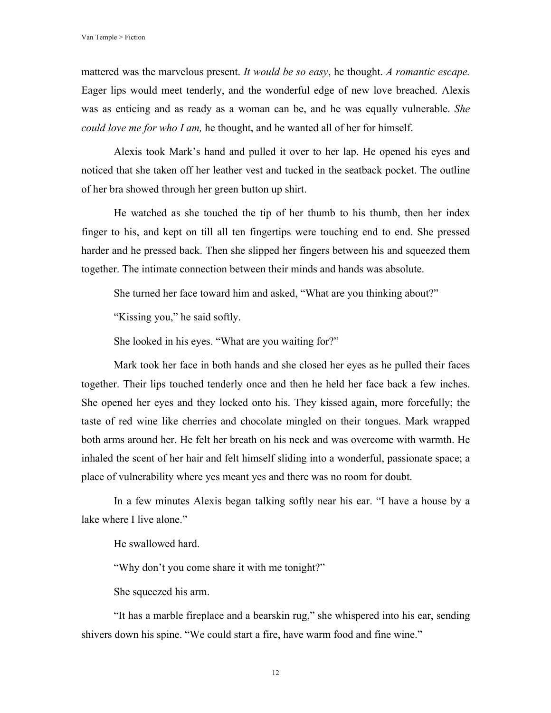mattered was the marvelous present. *It would be so easy*, he thought. *A romantic escape.* Eager lips would meet tenderly, and the wonderful edge of new love breached. Alexis was as enticing and as ready as a woman can be, and he was equally vulnerable. *She could love me for who I am,* he thought, and he wanted all of her for himself.

Alexis took Mark's hand and pulled it over to her lap. He opened his eyes and noticed that she taken off her leather vest and tucked in the seatback pocket. The outline of her bra showed through her green button up shirt.

He watched as she touched the tip of her thumb to his thumb, then her index finger to his, and kept on till all ten fingertips were touching end to end. She pressed harder and he pressed back. Then she slipped her fingers between his and squeezed them together. The intimate connection between their minds and hands was absolute.

She turned her face toward him and asked, "What are you thinking about?"

"Kissing you," he said softly.

She looked in his eyes. "What are you waiting for?"

Mark took her face in both hands and she closed her eyes as he pulled their faces together. Their lips touched tenderly once and then he held her face back a few inches. She opened her eyes and they locked onto his. They kissed again, more forcefully; the taste of red wine like cherries and chocolate mingled on their tongues. Mark wrapped both arms around her. He felt her breath on his neck and was overcome with warmth. He inhaled the scent of her hair and felt himself sliding into a wonderful, passionate space; a place of vulnerability where yes meant yes and there was no room for doubt.

In a few minutes Alexis began talking softly near his ear. "I have a house by a lake where I live alone."

He swallowed hard.

"Why don't you come share it with me tonight?"

She squeezed his arm.

"It has a marble fireplace and a bearskin rug," she whispered into his ear, sending shivers down his spine. "We could start a fire, have warm food and fine wine."

12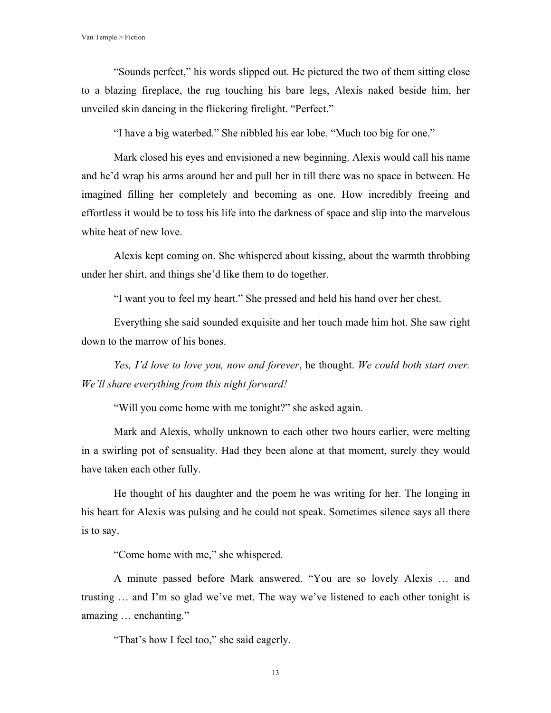"Sounds perfect," his words slipped out. He pictured the two of them sitting close to a blazing fireplace, the rug touching his bare legs, Alexis naked beside him, her unveiled skin dancing in the flickering firelight. "Perfect."

"I have a big waterbed." She nibbled his ear lobe. "Much too big for one."

Mark closed his eyes and envisioned a new beginning. Alexis would call his name and he'd wrap his arms around her and pull her in till there was no space in between. He imagined filling her completely and becoming as one. How incredibly freeing and effortless it would be to toss his life into the darkness of space and slip into the marvelous white heat of new love.

Alexis kept coming on. She whispered about kissing, about the warmth throbbing under her shirt, and things she'd like them to do together.

"I want you to feel my heart." She pressed and held his hand over her chest.

Everything she said sounded exquisite and her touch made him hot. She saw right down to the marrow of his bones.

*Yes, I'd love to love you, now and forever*, he thought. *We could both start over. We'll share everything from this night forward!*

"Will you come home with me tonight?" she asked again.

Mark and Alexis, wholly unknown to each other two hours earlier, were melting in a swirling pot of sensuality. Had they been alone at that moment, surely they would have taken each other fully.

He thought of his daughter and the poem he was writing for her. The longing in his heart for Alexis was pulsing and he could not speak. Sometimes silence says all there is to say.

"Come home with me," she whispered.

A minute passed before Mark answered. "You are so lovely Alexis … and trusting … and I'm so glad we've met. The way we've listened to each other tonight is amazing … enchanting."

"That's how I feel too," she said eagerly.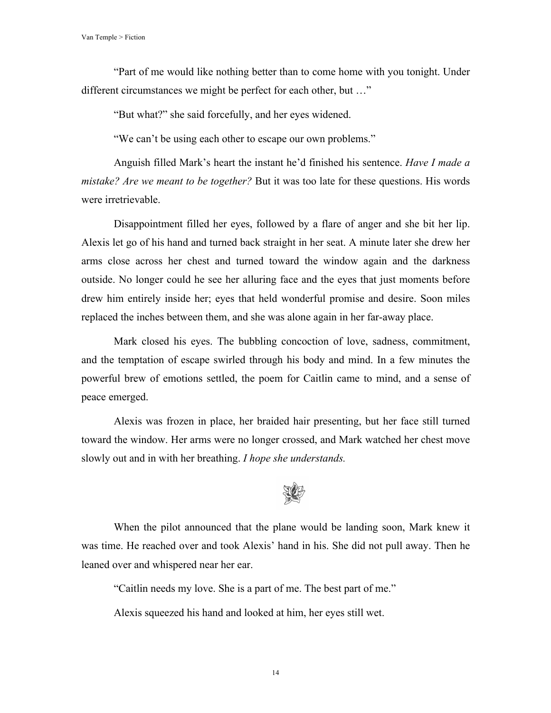Van Temple > Fiction

"Part of me would like nothing better than to come home with you tonight. Under different circumstances we might be perfect for each other, but …"

"But what?" she said forcefully, and her eyes widened.

"We can't be using each other to escape our own problems."

Anguish filled Mark's heart the instant he'd finished his sentence. *Have I made a mistake? Are we meant to be together?* But it was too late for these questions. His words were irretrievable.

Disappointment filled her eyes, followed by a flare of anger and she bit her lip. Alexis let go of his hand and turned back straight in her seat. A minute later she drew her arms close across her chest and turned toward the window again and the darkness outside. No longer could he see her alluring face and the eyes that just moments before drew him entirely inside her; eyes that held wonderful promise and desire. Soon miles replaced the inches between them, and she was alone again in her far-away place.

Mark closed his eyes. The bubbling concoction of love, sadness, commitment, and the temptation of escape swirled through his body and mind. In a few minutes the powerful brew of emotions settled, the poem for Caitlin came to mind, and a sense of peace emerged.

Alexis was frozen in place, her braided hair presenting, but her face still turned toward the window. Her arms were no longer crossed, and Mark watched her chest move slowly out and in with her breathing. *I hope she understands.*



When the pilot announced that the plane would be landing soon, Mark knew it was time. He reached over and took Alexis' hand in his. She did not pull away. Then he leaned over and whispered near her ear.

"Caitlin needs my love. She is a part of me. The best part of me."

Alexis squeezed his hand and looked at him, her eyes still wet.